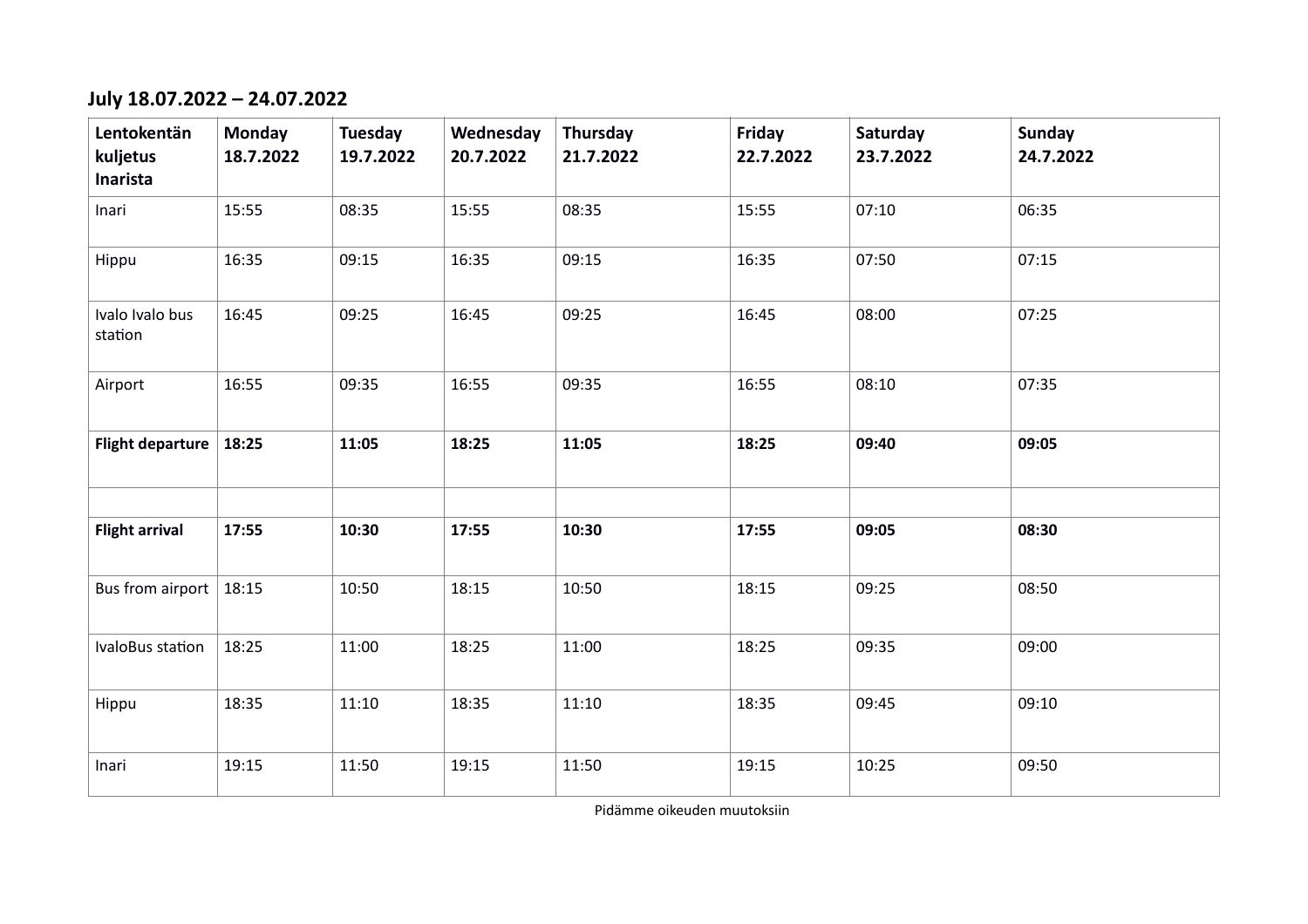## **July 18.07.2022 – 24.07.2022**

| Lentokentän<br>kuljetus<br>Inarista | <b>Monday</b><br>18.7.2022 | Tuesday<br>19.7.2022 | Wednesday<br>20.7.2022 | Thursday<br>21.7.2022 | Friday<br>22.7.2022 | Saturday<br>23.7.2022 | <b>Sunday</b><br>24.7.2022 |
|-------------------------------------|----------------------------|----------------------|------------------------|-----------------------|---------------------|-----------------------|----------------------------|
| Inari                               | 15:55                      | 08:35                | 15:55                  | 08:35                 | 15:55               | 07:10                 | 06:35                      |
| Hippu                               | 16:35                      | 09:15                | 16:35                  | 09:15                 | 16:35               | 07:50                 | 07:15                      |
| Ivalo Ivalo bus<br>station          | 16:45                      | 09:25                | 16:45                  | 09:25                 | 16:45               | 08:00                 | 07:25                      |
| Airport                             | 16:55                      | 09:35                | 16:55                  | 09:35                 | 16:55               | 08:10                 | 07:35                      |
| <b>Flight departure</b>             | 18:25                      | 11:05                | 18:25                  | 11:05                 | 18:25               | 09:40                 | 09:05                      |
|                                     |                            |                      |                        |                       |                     |                       |                            |
| <b>Flight arrival</b>               | 17:55                      | 10:30                | 17:55                  | 10:30                 | 17:55               | 09:05                 | 08:30                      |
| Bus from airport   $18:15$          |                            | 10:50                | 18:15                  | 10:50                 | 18:15               | 09:25                 | 08:50                      |
| IvaloBus station                    | 18:25                      | 11:00                | 18:25                  | 11:00                 | 18:25               | 09:35                 | 09:00                      |
| Hippu                               | 18:35                      | 11:10                | 18:35                  | 11:10                 | 18:35               | 09:45                 | 09:10                      |
| Inari                               | 19:15                      | 11:50                | 19:15                  | 11:50                 | 19:15               | 10:25                 | 09:50                      |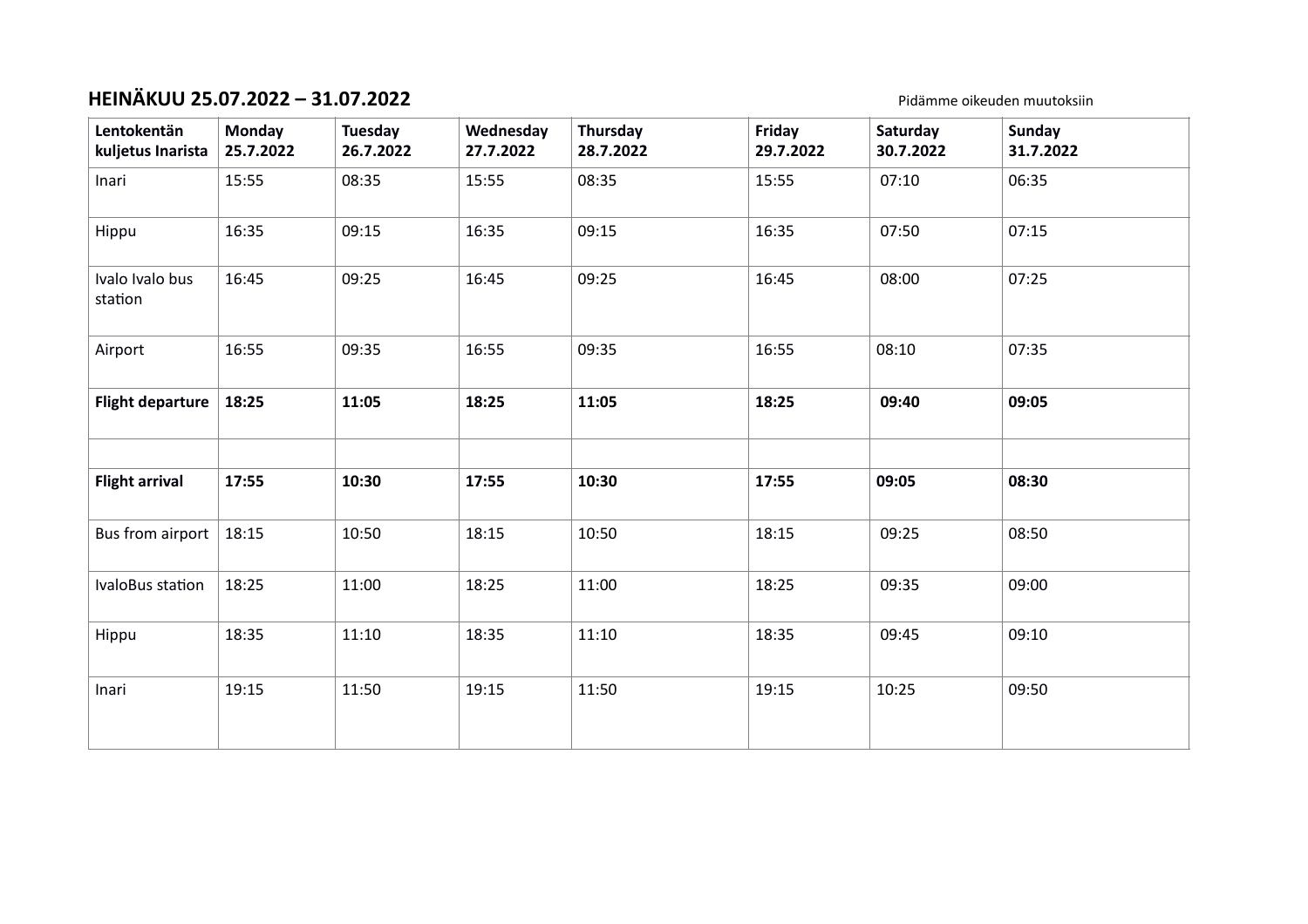# **HEINÄKUU 25.07.2022 – 31.07.2022** Pidämme oikeuden muutoksiin

| Lentokentän<br>kuljetus Inarista | Monday<br>25.7.2022 | Tuesday<br>26.7.2022 | Wednesday<br>27.7.2022 | Thursday<br>28.7.2022 | Friday<br>29.7.2022 | Saturday<br>30.7.2022 | <b>Sunday</b><br>31.7.2022 |
|----------------------------------|---------------------|----------------------|------------------------|-----------------------|---------------------|-----------------------|----------------------------|
| Inari                            | 15:55               | 08:35                | 15:55                  | 08:35                 | 15:55               | 07:10                 | 06:35                      |
| Hippu                            | 16:35               | 09:15                | 16:35                  | 09:15                 | 16:35               | 07:50                 | 07:15                      |
| Ivalo Ivalo bus<br>station       | 16:45               | 09:25                | 16:45                  | 09:25                 | 16:45               | 08:00                 | 07:25                      |
| Airport                          | 16:55               | 09:35                | 16:55                  | 09:35                 | 16:55               | 08:10                 | 07:35                      |
| <b>Flight departure</b>          | 18:25               | 11:05                | 18:25                  | 11:05                 | 18:25               | 09:40                 | 09:05                      |
|                                  |                     |                      |                        |                       |                     |                       |                            |
| <b>Flight arrival</b>            | 17:55               | 10:30                | 17:55                  | 10:30                 | 17:55               | 09:05                 | 08:30                      |
| Bus from airport                 | 18:15               | 10:50                | 18:15                  | 10:50                 | 18:15               | 09:25                 | 08:50                      |
| IvaloBus station                 | 18:25               | 11:00                | 18:25                  | 11:00                 | 18:25               | 09:35                 | 09:00                      |
| Hippu                            | 18:35               | 11:10                | 18:35                  | 11:10                 | 18:35               | 09:45                 | 09:10                      |
| Inari                            | 19:15               | 11:50                | 19:15                  | 11:50                 | 19:15               | 10:25                 | 09:50                      |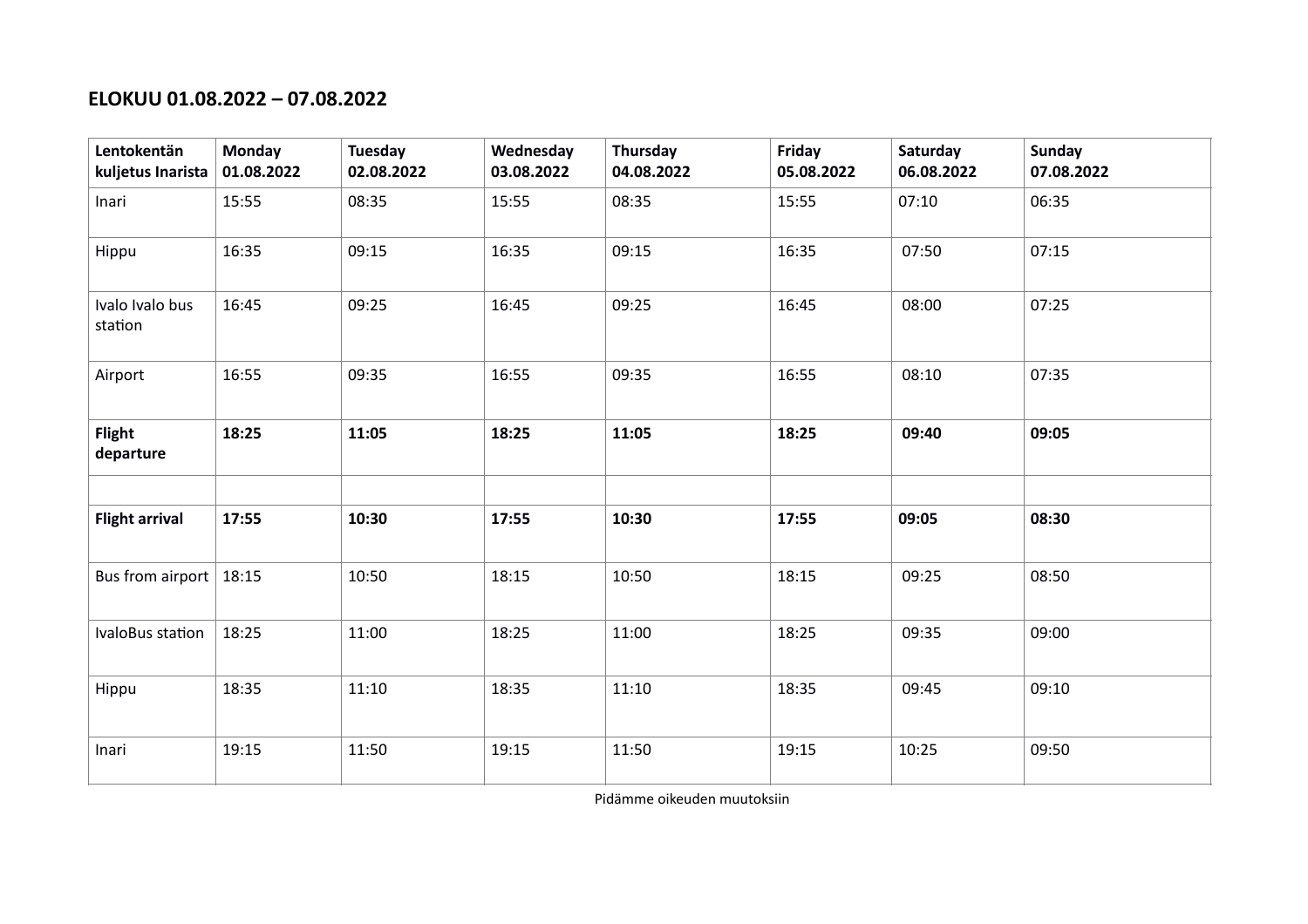#### **ELOKUU 01.08.2022 – 07.08.2022**

| Lentokentän<br>kuljetus Inarista | <b>Monday</b><br>01.08.2022 | Tuesday<br>02.08.2022 | Wednesday<br>03.08.2022 | Thursday<br>04.08.2022 | Friday<br>05.08.2022 | Saturday<br>06.08.2022 | Sunday<br>07.08.2022 |
|----------------------------------|-----------------------------|-----------------------|-------------------------|------------------------|----------------------|------------------------|----------------------|
| Inari                            | 15:55                       | 08:35                 | 15:55                   | 08:35                  | 15:55                | 07:10                  | 06:35                |
| Hippu                            | 16:35                       | 09:15                 | 16:35                   | 09:15                  | 16:35                | 07:50                  | 07:15                |
| Ivalo Ivalo bus<br>station       | 16:45                       | 09:25                 | 16:45                   | 09:25                  | 16:45                | 08:00                  | 07:25                |
| Airport                          | 16:55                       | 09:35                 | 16:55                   | 09:35                  | 16:55                | 08:10                  | 07:35                |
| <b>Flight</b><br>departure       | 18:25                       | 11:05                 | 18:25                   | 11:05                  | 18:25                | 09:40                  | 09:05                |
|                                  |                             |                       |                         |                        |                      |                        |                      |
| <b>Flight arrival</b>            | 17:55                       | 10:30                 | 17:55                   | 10:30                  | 17:55                | 09:05                  | 08:30                |
| Bus from airport $\vert$ 18:15   |                             | 10:50                 | 18:15                   | 10:50                  | 18:15                | 09:25                  | 08:50                |
| IvaloBus station                 | 18:25                       | 11:00                 | 18:25                   | 11:00                  | 18:25                | 09:35                  | 09:00                |
| Hippu                            | 18:35                       | 11:10                 | 18:35                   | 11:10                  | 18:35                | 09:45                  | 09:10                |
| Inari                            | 19:15                       | 11:50                 | 19:15                   | 11:50                  | 19:15                | 10:25                  | 09:50                |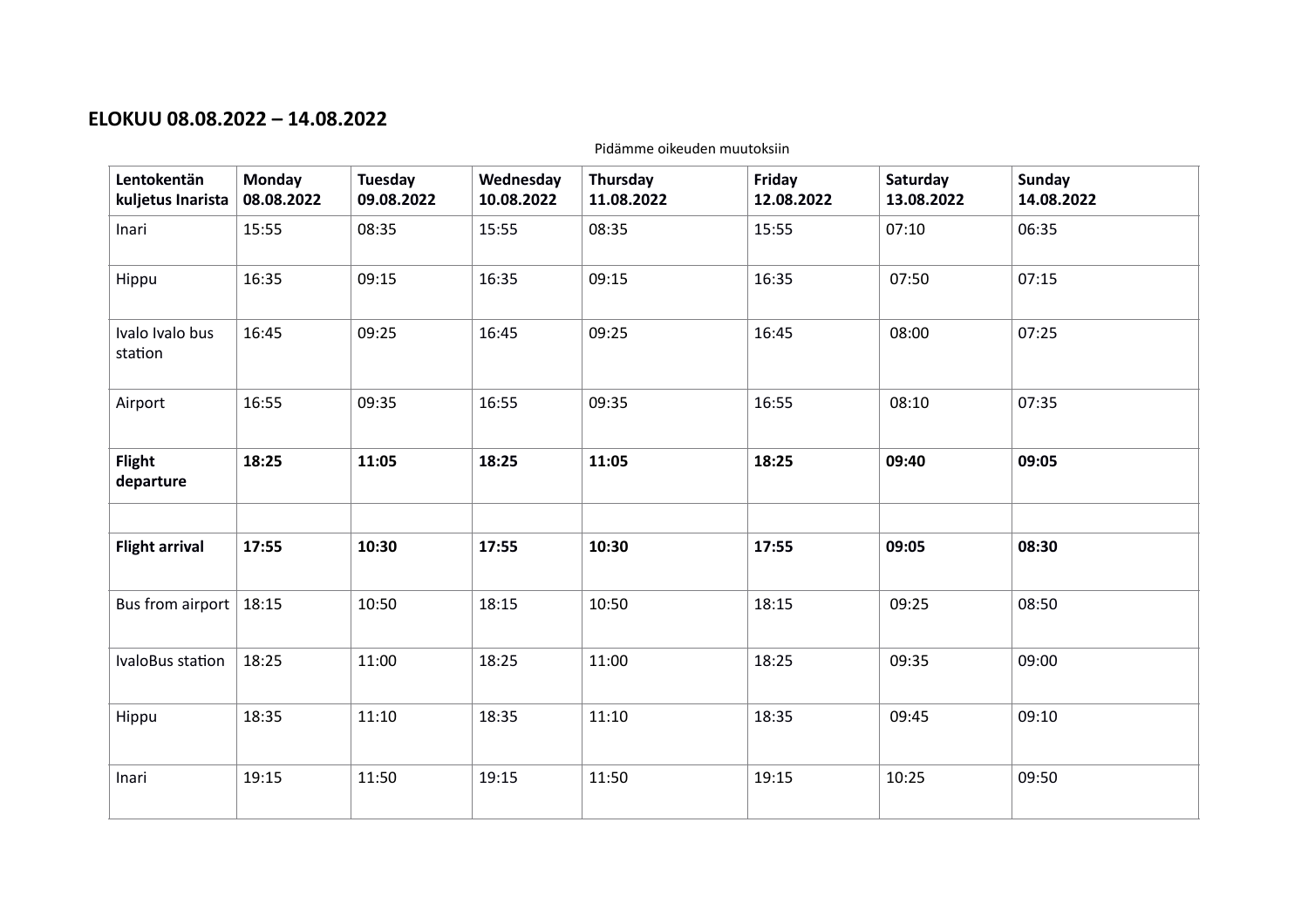### **ELOKUU 08.08.2022 – 14.08.2022**

| Lentokentän<br>kuljetus Inarista | <b>Monday</b><br>08.08.2022 | Tuesday<br>09.08.2022 | Wednesday<br>10.08.2022 | Thursday<br>11.08.2022 | Friday<br>12.08.2022 | Saturday<br>13.08.2022 | <b>Sunday</b><br>14.08.2022 |
|----------------------------------|-----------------------------|-----------------------|-------------------------|------------------------|----------------------|------------------------|-----------------------------|
| Inari                            | 15:55                       | 08:35                 | 15:55                   | 08:35                  | 15:55                | 07:10                  | 06:35                       |
| Hippu                            | 16:35                       | 09:15                 | 16:35                   | 09:15                  | 16:35                | 07:50                  | 07:15                       |
| Ivalo Ivalo bus<br>station       | 16:45                       | 09:25                 | 16:45                   | 09:25                  | 16:45                | 08:00                  | 07:25                       |
| Airport                          | 16:55                       | 09:35                 | 16:55                   | 09:35                  | 16:55                | 08:10                  | 07:35                       |
| <b>Flight</b><br>departure       | 18:25                       | 11:05                 | 18:25                   | 11:05                  | 18:25                | 09:40                  | 09:05                       |
|                                  |                             |                       |                         |                        |                      |                        |                             |
| <b>Flight arrival</b>            | 17:55                       | 10:30                 | 17:55                   | 10:30                  | 17:55                | 09:05                  | 08:30                       |
| Bus from airport                 | 18:15                       | 10:50                 | 18:15                   | 10:50                  | 18:15                | 09:25                  | 08:50                       |
| IvaloBus station                 | 18:25                       | 11:00                 | 18:25                   | 11:00                  | 18:25                | 09:35                  | 09:00                       |
| Hippu                            | 18:35                       | 11:10                 | 18:35                   | 11:10                  | 18:35                | 09:45                  | 09:10                       |
| Inari                            | 19:15                       | 11:50                 | 19:15                   | 11:50                  | 19:15                | 10:25                  | 09:50                       |